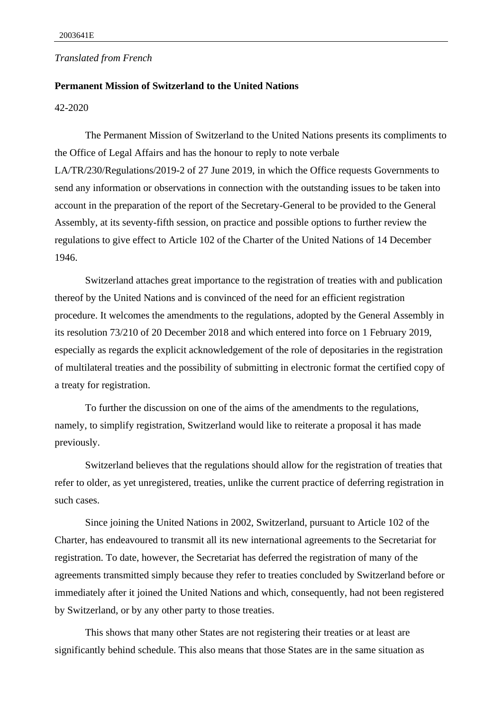## *Translated from French*

## **Permanent Mission of Switzerland to the United Nations**

## 42-2020

The Permanent Mission of Switzerland to the United Nations presents its compliments to the Office of Legal Affairs and has the honour to reply to note verbale LA/TR/230/Regulations/2019-2 of 27 June 2019, in which the Office requests Governments to send any information or observations in connection with the outstanding issues to be taken into account in the preparation of the report of the Secretary-General to be provided to the General Assembly, at its seventy-fifth session, on practice and possible options to further review the regulations to give effect to Article 102 of the Charter of the United Nations of 14 December 1946.

Switzerland attaches great importance to the registration of treaties with and publication thereof by the United Nations and is convinced of the need for an efficient registration procedure. It welcomes the amendments to the regulations, adopted by the General Assembly in its resolution 73/210 of 20 December 2018 and which entered into force on 1 February 2019, especially as regards the explicit acknowledgement of the role of depositaries in the registration of multilateral treaties and the possibility of submitting in electronic format the certified copy of a treaty for registration.

To further the discussion on one of the aims of the amendments to the regulations, namely, to simplify registration, Switzerland would like to reiterate a proposal it has made previously.

Switzerland believes that the regulations should allow for the registration of treaties that refer to older, as yet unregistered, treaties, unlike the current practice of deferring registration in such cases.

Since joining the United Nations in 2002, Switzerland, pursuant to Article 102 of the Charter, has endeavoured to transmit all its new international agreements to the Secretariat for registration. To date, however, the Secretariat has deferred the registration of many of the agreements transmitted simply because they refer to treaties concluded by Switzerland before or immediately after it joined the United Nations and which, consequently, had not been registered by Switzerland, or by any other party to those treaties.

This shows that many other States are not registering their treaties or at least are significantly behind schedule. This also means that those States are in the same situation as